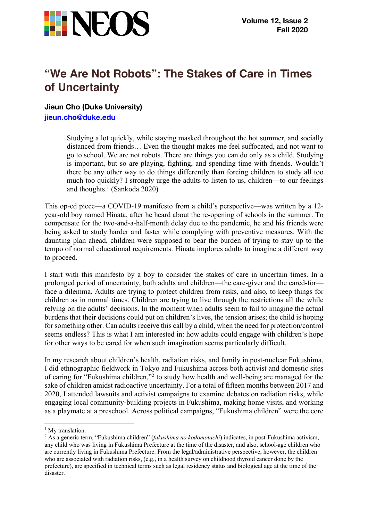

## **"We Are Not Robots": The Stakes of Care in Times of Uncertainty**

**Jieun Cho (Duke University) jieun.cho@duke.edu**

> Studying a lot quickly, while staying masked throughout the hot summer, and socially distanced from friends… Even the thought makes me feel suffocated, and not want to go to school. We are not robots. There are things you can do only as a child. Studying is important, but so are playing, fighting, and spending time with friends. Wouldn't there be any other way to do things differently than forcing children to study all too much too quickly? I strongly urge the adults to listen to us, children—to our feelings and thoughts.<sup>1</sup> (Sankoda 2020)

This op-ed piece—a COVID-19 manifesto from a child's perspective—was written by a 12 year-old boy named Hinata, after he heard about the re-opening of schools in the summer. To compensate for the two-and-a-half-month delay due to the pandemic, he and his friends were being asked to study harder and faster while complying with preventive measures. With the daunting plan ahead, children were supposed to bear the burden of trying to stay up to the tempo of normal educational requirements. Hinata implores adults to imagine a different way to proceed.

I start with this manifesto by a boy to consider the stakes of care in uncertain times. In a prolonged period of uncertainty, both adults and children—the care-giver and the cared-for face a dilemma. Adults are trying to protect children from risks, and also, to keep things for children as in normal times. Children are trying to live through the restrictions all the while relying on the adults' decisions. In the moment when adults seem to fail to imagine the actual burdens that their decisions could put on children's lives, the tension arises; the child is hoping for something other. Can adults receive this call by a child, when the need for protection/control seems endless? This is what I am interested in: how adults could engage with children's hope for other ways to be cared for when such imagination seems particularly difficult.

In my research about children's health, radiation risks, and family in post-nuclear Fukushima, I did ethnographic fieldwork in Tokyo and Fukushima across both activist and domestic sites of caring for "Fukushima children,"<sup>2</sup> to study how health and well-being are managed for the sake of children amidst radioactive uncertainty. For a total of fifteen months between 2017 and 2020, I attended lawsuits and activist campaigns to examine debates on radiation risks, while engaging local community-building projects in Fukushima, making home visits, and working as a playmate at a preschool. Across political campaigns, "Fukushima children" were the core

<sup>&</sup>lt;sup>1</sup> My translation.

<sup>2</sup> As a generic term, "Fukushima children" (*fukushima no kodomotachi*) indicates, in post-Fukushima activism, any child who was living in Fukushima Prefecture at the time of the disaster, and also, school-age children who are currently living in Fukushima Prefecture. From the legal/administrative perspective, however, the children who are associated with radiation risks, (e.g., in a health survey on childhood thyroid cancer done by the prefecture), are specified in technical terms such as legal residency status and biological age at the time of the disaster.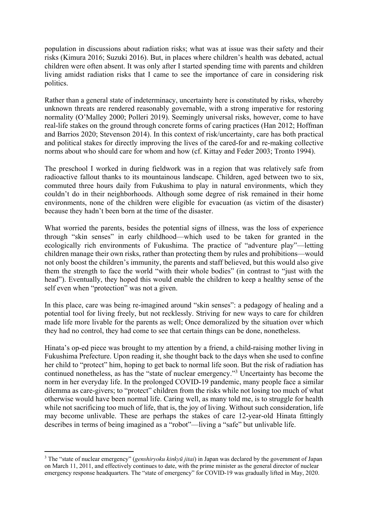population in discussions about radiation risks; what was at issue was their safety and their risks (Kimura 2016; Suzuki 2016). But, in places where children's health was debated, actual children were often absent. It was only after I started spending time with parents and children living amidst radiation risks that I came to see the importance of care in considering risk politics.

Rather than a general state of indeterminacy, uncertainty here is constituted by risks, whereby unknown threats are rendered reasonably governable, with a strong imperative for restoring normality (O'Malley 2000; Polleri 2019). Seemingly universal risks, however, come to have real-life stakes on the ground through concrete forms of caring practices (Han 2012; Hoffman and Barrios 2020; Stevenson 2014). In this context of risk/uncertainty, care has both practical and political stakes for directly improving the lives of the cared-for and re-making collective norms about who should care for whom and how (cf. Kittay and Feder 2003; Tronto 1994).

The preschool I worked in during fieldwork was in a region that was relatively safe from radioactive fallout thanks to its mountainous landscape. Children, aged between two to six, commuted three hours daily from Fukushima to play in natural environments, which they couldn't do in their neighborhoods. Although some degree of risk remained in their home environments, none of the children were eligible for evacuation (as victim of the disaster) because they hadn't been born at the time of the disaster.

What worried the parents, besides the potential signs of illness, was the loss of experience through "skin senses" in early childhood—which used to be taken for granted in the ecologically rich environments of Fukushima. The practice of "adventure play"—letting children manage their own risks, rather than protecting them by rules and prohibitions—would not only boost the children's immunity, the parents and staff believed, but this would also give them the strength to face the world "with their whole bodies" (in contrast to "just with the head"). Eventually, they hoped this would enable the children to keep a healthy sense of the self even when "protection" was not a given.

In this place, care was being re-imagined around "skin senses": a pedagogy of healing and a potential tool for living freely, but not recklessly. Striving for new ways to care for children made life more livable for the parents as well; Once demoralized by the situation over which they had no control, they had come to see that certain things can be done, nonetheless.

Hinata's op-ed piece was brought to my attention by a friend, a child-raising mother living in Fukushima Prefecture. Upon reading it, she thought back to the days when she used to confine her child to "protect" him, hoping to get back to normal life soon. But the risk of radiation has continued nonetheless, as has the "state of nuclear emergency."3 Uncertainty has become the norm in her everyday life. In the prolonged COVID-19 pandemic, many people face a similar dilemma as care-givers; to "protect" children from the risks while not losing too much of what otherwise would have been normal life. Caring well, as many told me, is to struggle for health while not sacrificing too much of life, that is, the joy of living. Without such consideration, life may become unlivable. These are perhaps the stakes of care 12-year-old Hinata fittingly describes in terms of being imagined as a "robot"—living a "safe" but unlivable life.

<sup>3</sup> The "state of nuclear emergency" (*genshiryoku kinkyū jitai*) in Japan was declared by the government of Japan on March 11, 2011, and effectively continues to date, with the prime minister as the general director of nuclear emergency response headquarters. The "state of emergency" for COVID-19 was gradually lifted in May, 2020.